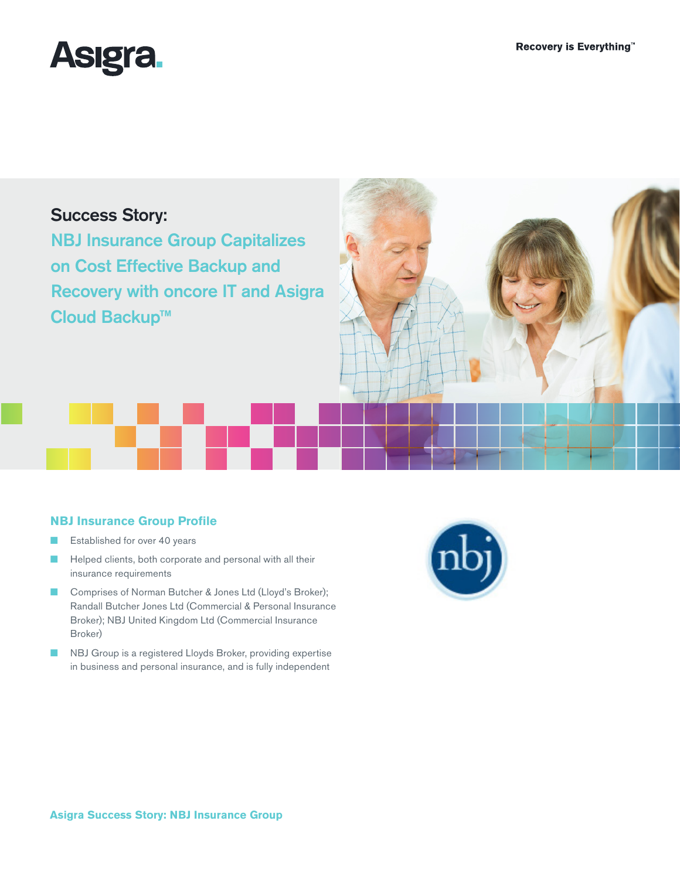

## Success Story:

NBJ Insurance Group Capitalizes on Cost Effective Backup and Recovery with oncore IT and Asigra Cloud Backup™



### **NBJ Insurance Group Profile**

- Established for over 40 years
- Helped clients, both corporate and personal with all their insurance requirements
- Comprises of Norman Butcher & Jones Ltd (Lloyd's Broker); Randall Butcher Jones Ltd (Commercial & Personal Insurance Broker); NBJ United Kingdom Ltd (Commercial Insurance Broker)
- NBJ Group is a registered Lloyds Broker, providing expertise in business and personal insurance, and is fully independent

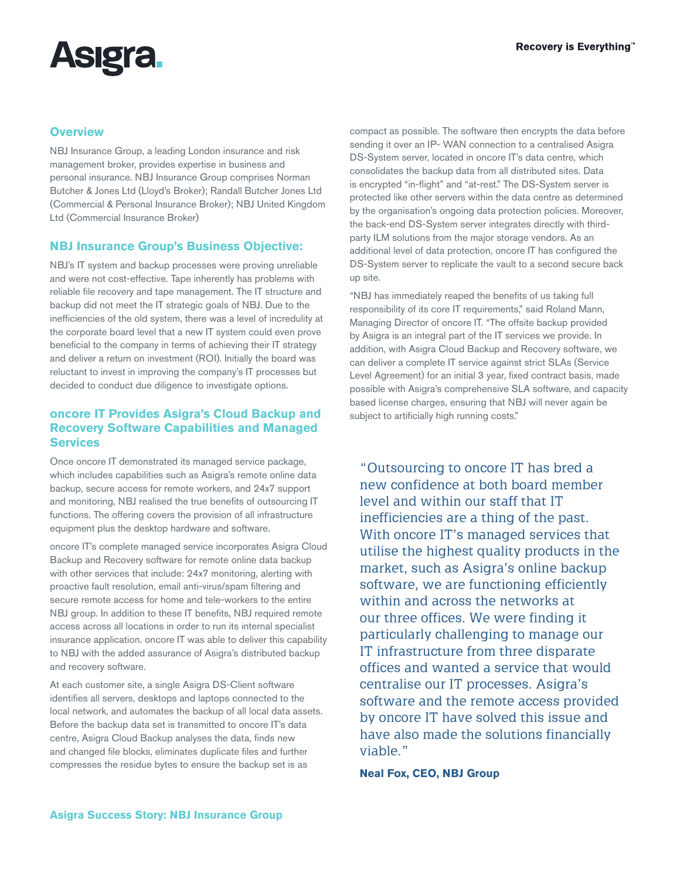# **Asigra**

#### **Overview**

NBJ Insurance Group, a leading London insurance and risk management broker, provides expertise in business and personal insurance. NBJ Insurance Group comprises Norman Butcher & Jones Ltd (Lloyd's Broker); Randall Butcher Jones Ltd (Commercial & Personal Insurance Broker); NBJ United Kingdom Ltd (Commercial Insurance Broker)

#### **NBJ Insurance Group's Business Objective:**

NBJ's IT system and backup processes were proving unreliable and were not cost-effective. Tape inherently has problems with reliable file recovery and tape management. The IT structure and backup did not meet the IT strategic goals of NBJ. Due to the inefficiencies of the old system, there was a level of incredulity at the corporate board level that a new IT system could even prove beneficial to the company in terms of achieving their IT strategy and deliver a return on investment (ROI). Initially the board was reluctant to invest in improving the company's IT processes but decided to conduct due diligence to investigate options.

#### **oncore IT Provides Asigra's Cloud Backup and Recovery Software Capabilities and Managed Services**

Once oncore IT demonstrated its managed service package, which includes capabilities such as Asigra's remote online data backup, secure access for remote workers, and 24x7 support and monitoring, NBJ realised the true benefits of outsourcing IT functions. The offering covers the provision of all infrastructure equipment plus the desktop hardware and software.

oncore IT's complete managed service incorporates Asigra Cloud Backup and Recovery software for remote online data backup with other services that include: 24x7 monitoring, alerting with proactive fault resolution, email anti-virus/spam filtering and secure remote access for home and tele-workers to the entire NBJ group. In addition to these IT benefits, NBJ required remote access across all locations in order to run its internal specialist insurance application. oncore IT was able to deliver this capability to NBJ with the added assurance of Asigra's distributed backup and recovery software.

At each customer site, a single Asigra DS-Client software identifies all servers, desktops and laptops connected to the local network, and automates the backup of all local data assets. Before the backup data set is transmitted to oncore IT's data centre, Asigra Cloud Backup analyses the data, finds new and changed file blocks, eliminates duplicate files and further compresses the residue bytes to ensure the backup set is as

compact as possible. The software then encrypts the data before sending it over an IP- WAN connection to a centralised Asigra DS-System server, located in oncore IT's data centre, which consolidates the backup data from all distributed sites. Data is encrypted "in-flight" and "at-rest." The DS-System server is protected like other servers within the data centre as determined by the organisation's ongoing data protection policies. Moreover, the back-end DS-System server integrates directly with thirdparty ILM solutions from the major storage vendors. As an additional level of data protection, oncore IT has configured the DS-System server to replicate the vault to a second secure back up site.

"NBJ has immediately reaped the benefits of us taking full responsibility of its core IT requirements," said Roland Mann, Managing Director of oncore IT. "The offsite backup provided by Asigra is an integral part of the IT services we provide. In addition, with Asigra Cloud Backup and Recovery software, we can deliver a complete IT service against strict SLAs (Service Level Agreement) for an initial 3 year, fixed contract basis, made possible with Asigra's comprehensive SLA software, and capacity based license charges, ensuring that NBJ will never again be subject to artificially high running costs."

"Outsourcing to oncore IT has bred a new confidence at both board member level and within our staff that IT inefficiencies are a thing of the past. With oncore IT's managed services that utilise the highest quality products in the market, such as Asigra's online backup software, we are functioning efficiently within and across the networks at our three offices. We were finding it particularly challenging to manage our IT infrastructure from three disparate offices and wanted a service that would centralise our IT processes. Asigra's software and the remote access provided by oncore IT have solved this issue and have also made the solutions financially viable."

**Neal Fox, CEO, NBJ Group**